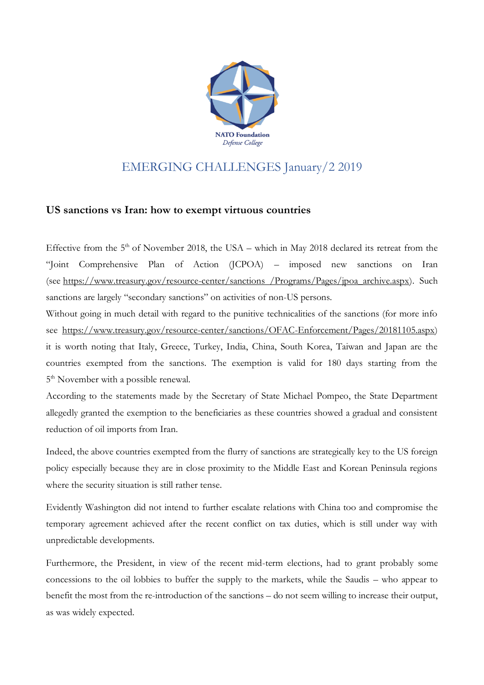

## EMERGING CHALLENGES January/2 2019

## **US sanctions vs Iran: how to exempt virtuous countries**

Effective from the  $5<sup>th</sup>$  of November 2018, the USA – which in May 2018 declared its retreat from the "Joint Comprehensive Plan of Action (JCPOA) – imposed new sanctions on Iran (see [https://www.treasury.gov/resource-center/sanctions /Programs/Pages/jpoa\\_archive.aspx\)](https://www.treasury.gov/resource-center/sanctions%20/Programs/Pages/jpoa_archive.aspx). Such sanctions are largely "secondary sanctions" on activities of non-US persons.

Without going in much detail with regard to the punitive technicalities of the sanctions (for more info see [https://www.treasury.gov/resource-center/sanctions/OFAC-Enforcement/Pages/20181105.aspx\)](https://www.treasury.gov/resource-center/sanctions/OFAC-Enforcement/Pages/20181105.aspx) it is worth noting that Italy, Greece, Turkey, India, China, South Korea, Taiwan and Japan are the countries exempted from the sanctions. The exemption is valid for 180 days starting from the 5<sup>th</sup> November with a possible renewal.

According to the statements made by the Secretary of State Michael Pompeo, the State Department allegedly granted the exemption to the beneficiaries as these countries showed a gradual and consistent reduction of oil imports from Iran.

Indeed, the above countries exempted from the flurry of sanctions are strategically key to the US foreign policy especially because they are in close proximity to the Middle East and Korean Peninsula regions where the security situation is still rather tense.

Evidently Washington did not intend to further escalate relations with China too and compromise the temporary agreement achieved after the recent conflict on tax duties, which is still under way with unpredictable developments.

Furthermore, the President, in view of the recent mid-term elections, had to grant probably some concessions to the oil lobbies to buffer the supply to the markets, while the Saudis – who appear to benefit the most from the re-introduction of the sanctions – do not seem willing to increase their output, as was widely expected.